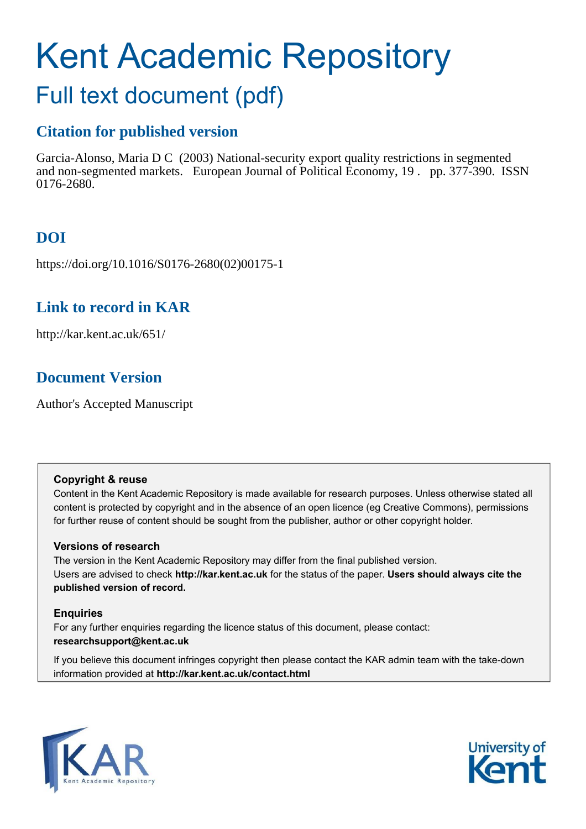# Kent Academic Repository

# Full text document (pdf)

# **Citation for published version**

Garcia-Alonso, Maria D C (2003) National-security export quality restrictions in segmented and non-segmented markets. European Journal of Political Economy, 19 . pp. 377-390. ISSN 0176-2680.

# **DOI**

https://doi.org/10.1016/S0176-2680(02)00175-1

# **Link to record in KAR**

http://kar.kent.ac.uk/651/

# **Document Version**

Author's Accepted Manuscript

## **Copyright & reuse**

Content in the Kent Academic Repository is made available for research purposes. Unless otherwise stated all content is protected by copyright and in the absence of an open licence (eg Creative Commons), permissions for further reuse of content should be sought from the publisher, author or other copyright holder.

## **Versions of research**

The version in the Kent Academic Repository may differ from the final published version. Users are advised to check **http://kar.kent.ac.uk** for the status of the paper. **Users should always cite the published version of record.**

## **Enquiries**

For any further enquiries regarding the licence status of this document, please contact: **researchsupport@kent.ac.uk**

If you believe this document infringes copyright then please contact the KAR admin team with the take-down information provided at **http://kar.kent.ac.uk/contact.html**



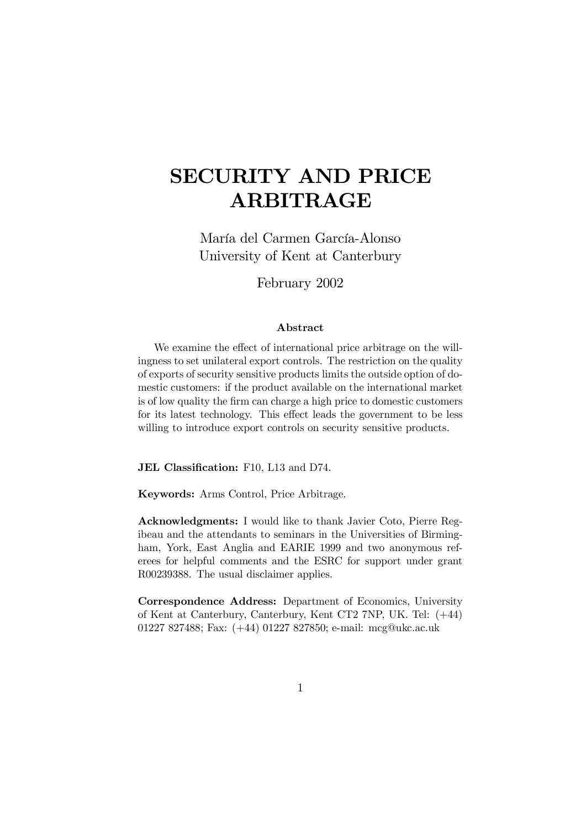# SECURITY AND PRICE ARBITRAGE

María del Carmen García-Alonso University of Kent at Canterbury

February 2002

#### Abstract

We examine the effect of international price arbitrage on the willingness to set unilateral export controls. The restriction on the quality of exports of security sensitive products limits the outside option of domestic customers: if the product available on the international market is of low quality the firm can charge a high price to domestic customers for its latest technology. This effect leads the government to be less willing to introduce export controls on security sensitive products.

JEL Classification: F10, L13 and D74.

Keywords: Arms Control, Price Arbitrage.

Acknowledgments: I would like to thank Javier Coto, Pierre Regibeau and the attendants to seminars in the Universities of Birmingham, York, East Anglia and EARIE 1999 and two anonymous referees for helpful comments and the ESRC for support under grant R00239388. The usual disclaimer applies.

Correspondence Address: Department of Economics, University of Kent at Canterbury, Canterbury, Kent CT2 7NP, UK. Tel: (+44) 01227 827488; Fax: (+44) 01227 827850; e-mail: mcg@ukc.ac.uk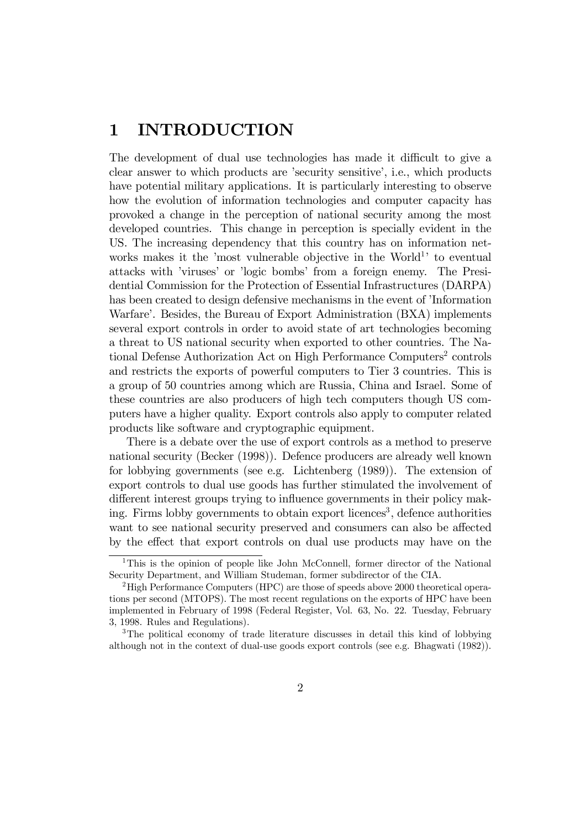## 1 INTRODUCTION

The development of dual use technologies has made it difficult to give a clear answer to which products are 'security sensitive', i.e., which products have potential military applications. It is particularly interesting to observe how the evolution of information technologies and computer capacity has provoked a change in the perception of national security among the most developed countries. This change in perception is specially evident in the US. The increasing dependency that this country has on information networks makes it the 'most vulnerable objective in the World<sup>1</sup>' to eventual attacks with 'viruses' or 'logic bombs' from a foreign enemy. The Presidential Commission for the Protection of Essential Infrastructures (DARPA) has been created to design defensive mechanisms in the event of 'Information Warfare'. Besides, the Bureau of Export Administration (BXA) implements several export controls in order to avoid state of art technologies becoming a threat to US national security when exported to other countries. The National Defense Authorization Act on High Performance Computers 2 controls and restricts the exports of powerful computers to Tier 3 countries. This is a group of 50 countries among which are Russia, China and Israel. Some of these countries are also producers of high tech computers though US computers have a higher quality. Export controls also apply to computer related products like software and cryptographic equipment.

There is a debate over the use of export controls as a method to preserve national security (Becker (1998)). Defence producers are already well known for lobbying governments (see e.g. Lichtenberg (1989)). The extension of export controls to dual use goods has further stimulated the involvement of different interest groups trying to influence governments in their policy making. Firms lobby governments to obtain export licences<sup>3</sup>, defence authorities want to see national security preserved and consumers can also be affected by the effect that export controls on dual use products may have on the

<sup>1</sup>This is the opinion of people like John McConnell, former director of the National Security Department, and William Studeman, former subdirector of the CIA.

<sup>2</sup>High Performance Computers (HPC) are those of speeds above 2000 theoretical operations per second (MTOPS). The most recent regulations on the exports of HPC have been implemented in February of 1998 (Federal Register, Vol. 63, No. 22. Tuesday, February 3, 1998. Rules and Regulations).

<sup>&</sup>lt;sup>3</sup>The political economy of trade literature discusses in detail this kind of lobbying although not in the context of dual-use goods export controls (see e.g. Bhagwati (1982)).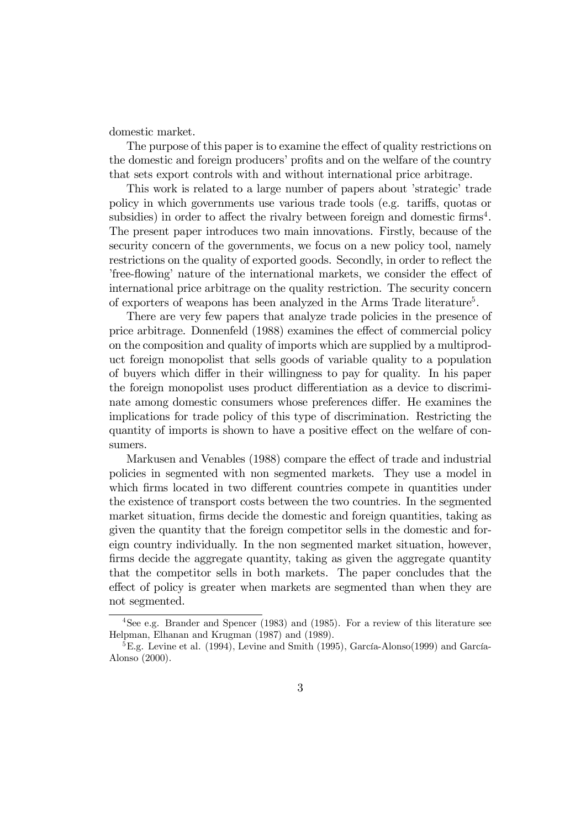domestic market.

The purpose of this paper is to examine the effect of quality restrictions on the domestic and foreign producers' profits and on the welfare of the country that sets export controls with and without international price arbitrage.

This work is related to a large number of papers about 'strategic' trade policy in which governments use various trade tools (e.g. tariffs, quotas or subsidies) in order to affect the rivalry between foreign and domestic firms<sup>4</sup>. The present paper introduces two main innovations. Firstly, because of the security concern of the governments, we focus on a new policy tool, namely restrictions on the quality of exported goods. Secondly, in order to reflect the 'free-flowing' nature of the international markets, we consider the effect of international price arbitrage on the quality restriction. The security concern of exporters of weapons has been analyzed in the Arms Trade literature<sup>5</sup>.

There are very few papers that analyze trade policies in the presence of price arbitrage. Donnenfeld (1988) examines the effect of commercial policy on the composition and quality of imports which are supplied by a multiproduct foreign monopolist that sells goods of variable quality to a population of buyers which differ in their willingness to pay for quality. In his paper the foreign monopolist uses product differentiation as a device to discriminate among domestic consumers whose preferences differ. He examines the implications for trade policy of this type of discrimination. Restricting the quantity of imports is shown to have a positive effect on the welfare of consumers.

Markusen and Venables (1988) compare the effect of trade and industrial policies in segmented with non segmented markets. They use a model in which firms located in two different countries compete in quantities under the existence of transport costs between the two countries. In the segmented market situation, firms decide the domestic and foreign quantities, taking as given the quantity that the foreign competitor sells in the domestic and foreign country individually. In the non segmented market situation, however, firms decide the aggregate quantity, taking as given the aggregate quantity that the competitor sells in both markets. The paper concludes that the effect of policy is greater when markets are segmented than when they are not segmented.

<sup>4</sup>See e.g. Brander and Spencer (1983) and (1985). For a review of this literature see Helpman, Elhanan and Krugman (1987) and (1989).

<sup>5</sup>E.g. Levine et al. (1994), Levine and Smith (1995), García-Alonso(1999) and García-Alonso (2000).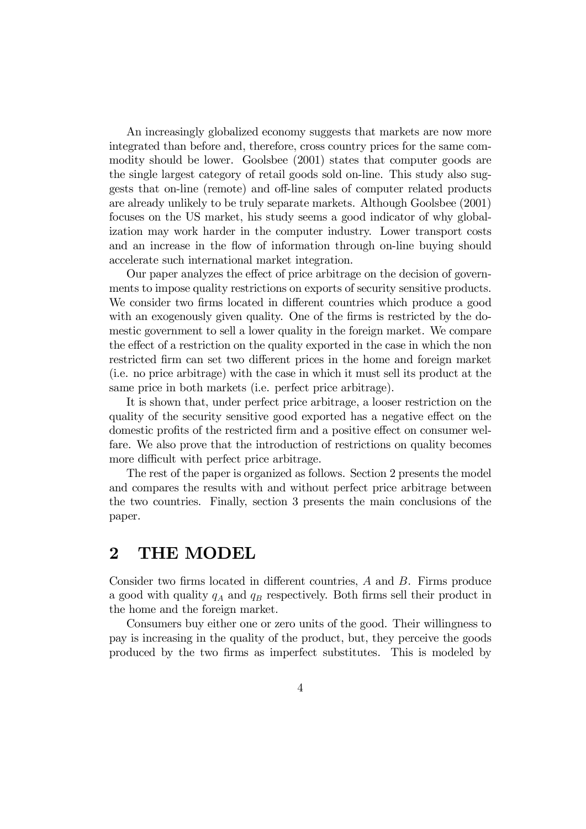An increasingly globalized economy suggests that markets are now more integrated than before and, therefore, cross country prices for the same commodity should be lower. Goolsbee (2001) states that computer goods are the single largest category of retail goods sold on-line. This study also suggests that on-line (remote) and off-line sales of computer related products are already unlikely to be truly separate markets. Although Goolsbee (2001) focuses on the US market, his study seems a good indicator of why globalization may work harder in the computer industry. Lower transport costs and an increase in the flow of information through on-line buying should accelerate such international market integration.

Our paper analyzes the effect of price arbitrage on the decision of governments to impose quality restrictions on exports of security sensitive products. We consider two firms located in different countries which produce a good with an exogenously given quality. One of the firms is restricted by the domestic government to sell a lower quality in the foreign market. We compare the effect of a restriction on the quality exported in the case in which the non restricted firm can set two different prices in the home and foreign market (i.e. no price arbitrage) with the case in which it must sell its product at the same price in both markets (i.e. perfect price arbitrage).

It is shown that, under perfect price arbitrage, a looser restriction on the quality of the security sensitive good exported has a negative effect on the domestic profits of the restricted firm and a positive effect on consumer welfare. We also prove that the introduction of restrictions on quality becomes more difficult with perfect price arbitrage.

The rest of the paper is organized as follows. Section 2 presents the model and compares the results with and without perfect price arbitrage between the two countries. Finally, section 3 presents the main conclusions of the paper.

## 2 THE MODEL

Consider two firms located in different countries,  $A$  and  $B$ . Firms produce a good with quality  $q_A$  and  $q_B$  respectively. Both firms sell their product in the home and the foreign market.

Consumers buy either one or zero units of the good. Their willingness to pay is increasing in the quality of the product, but, they perceive the goods produced by the two firms as imperfect substitutes. This is modeled by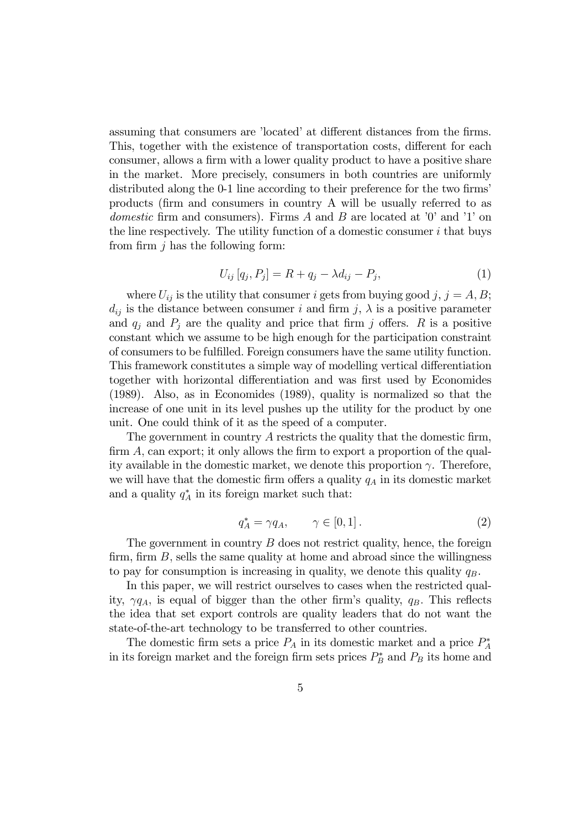assuming that consumers are 'located' at different distances from the firms. This, together with the existence of transportation costs, different for each consumer, allows a firm with a lower quality product to have a positive share in the market. More precisely, consumers in both countries are uniformly distributed along the 0-1 line according to their preference for the two firms' products (firm and consumers in country A will be usually referred to as domestic firm and consumers). Firms  $A$  and  $B$  are located at '0' and '1' on the line respectively. The utility function of a domestic consumer  $i$  that buys from firm  $i$  has the following form:

$$
U_{ij}[q_j, P_j] = R + q_j - \lambda d_{ij} - P_j,
$$
\n(1)

where  $U_{ij}$  is the utility that consumer *i* gets from buying good *j*, *j* = *A*, *B*;  $d_{ij}$  is the distance between consumer i and firm j,  $\lambda$  is a positive parameter and  $q_i$  and  $P_i$  are the quality and price that firm j offers. R is a positive constant which we assume to be high enough for the participation constraint of consumers to be fulfilled. Foreign consumers have the same utility function. This framework constitutes a simple way of modelling vertical differentiation together with horizontal differentiation and was first used by Economides (1989). Also, as in Economides (1989), quality is normalized so that the increase of one unit in its level pushes up the utility for the product by one unit. One could think of it as the speed of a computer.

The government in country  $A$  restricts the quality that the domestic firm,  $\dim A$ , can export; it only allows the firm to export a proportion of the quality available in the domestic market, we denote this proportion  $\gamma$ . Therefore, we will have that the domestic firm offers a quality  $q_A$  in its domestic market and a quality  $q_A^*$  in its foreign market such that:

$$
q_A^* = \gamma q_A, \qquad \gamma \in [0, 1]. \tag{2}
$$

The government in country  $B$  does not restrict quality, hence, the foreign firm, firm  $B$ , sells the same quality at home and abroad since the willingness to pay for consumption is increasing in quality, we denote this quality  $q_B$ .

In this paper, we will restrict ourselves to cases when the restricted quality,  $\gamma q_A$ , is equal of bigger than the other firm's quality,  $q_B$ . This reflects the idea that set export controls are quality leaders that do not want the state-of-the-art technology to be transferred to other countries.

The domestic firm sets a price  $P_A$  in its domestic market and a price  $P_A^*$ in its foreign market and the foreign firm sets prices  $P_B^*$  and  $P_B$  its home and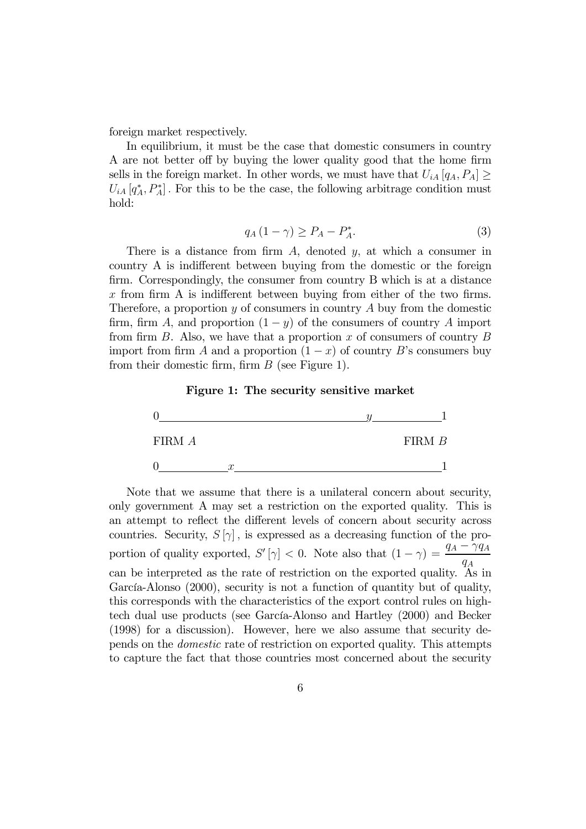foreign market respectively.

In equilibrium, it must be the case that domestic consumers in country A are not better off by buying the lower quality good that the home firm sells in the foreign market. In other words, we must have that  $U_{iA} [q_A, P_A] \geq$  $U_{iA}\left[q_A^*, P_A^*\right]$ . For this to be the case, the following arbitrage condition must hold:

$$
q_A(1-\gamma) \ge P_A - P_A^*.
$$

There is a distance from firm  $A$ , denoted  $y$ , at which a consumer in country A is indifferent between buying from the domestic or the foreign firm. Correspondingly, the consumer from country B which is at a distance x from firm A is indifferent between buying from either of the two firms. Therefore, a proportion  $y$  of consumers in country  $A$  buy from the domestic firm, firm A, and proportion  $(1 - y)$  of the consumers of country A import from firm  $B$ . Also, we have that a proportion  $x$  of consumers of country  $B$ import from firm A and a proportion  $(1 - x)$  of country B's consumers buy from their domestic firm, firm  $B$  (see Figure 1).





Note that we assume that there is a unilateral concern about security, only government A may set a restriction on the exported quality. This is an attempt to reflect the different levels of concern about security across countries. Security,  $S[\gamma]$ , is expressed as a decreasing function of the proportion of quality exported,  $S'[\gamma] < 0$ . Note also that  $(1 - \gamma) = \frac{q_A - \gamma q_A}{q_A}$ can be interpreted as the rate of restriction on the exported quality. As in García-Alonso (2000), security is not a function of quantity but of quality, this corresponds with the characteristics of the export control rules on hightech dual use products (see García-Alonso and Hartley (2000) and Becker (1998) for a discussion). However, here we also assume that security depends on the domestic rate of restriction on exported quality. This attempts to capture the fact that those countries most concerned about the security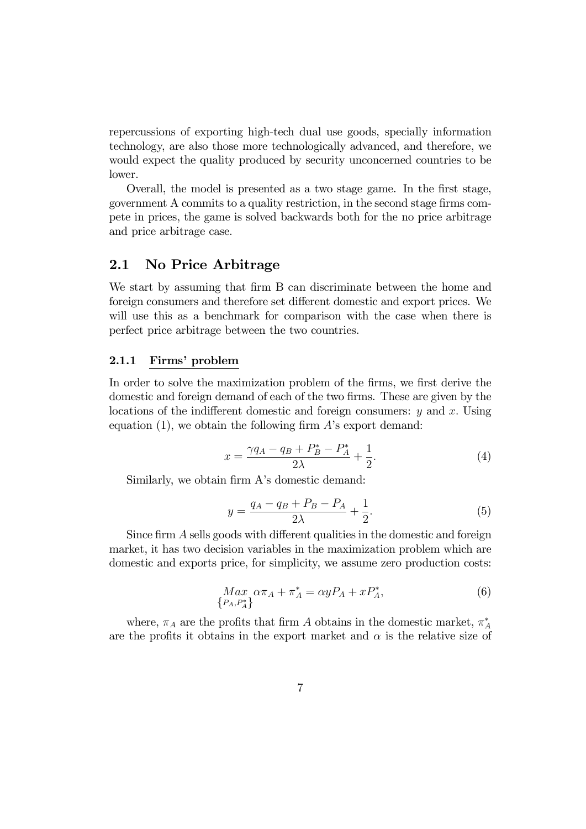repercussions of exporting high-tech dual use goods, specially information technology, are also those more technologically advanced, and therefore, we would expect the quality produced by security unconcerned countries to be lower.

Overall, the model is presented as a two stage game. In the first stage, government A commits to a quality restriction, in the second stage firms compete in prices, the game is solved backwards both for the no price arbitrage and price arbitrage case.

### 2.1 No Price Arbitrage

We start by assuming that firm B can discriminate between the home and foreign consumers and therefore set different domestic and export prices. We will use this as a benchmark for comparison with the case when there is perfect price arbitrage between the two countries.

#### 2.1.1 Firms' problem

In order to solve the maximization problem of the firms, we first derive the domestic and foreign demand of each of the two firms. These are given by the locations of the indifferent domestic and foreign consumers:  $y$  and  $x$ . Using equation (1), we obtain the following firm  $A$ 's export demand:

$$
x = \frac{\gamma q_A - q_B + P_B^* - P_A^*}{2\lambda} + \frac{1}{2}.
$$
 (4)

Similarly, we obtain firm A's domestic demand:

$$
y = \frac{q_A - q_B + P_B - P_A}{2\lambda} + \frac{1}{2}.
$$
 (5)

Since  $\lim_{n \to \infty} A$  sells goods with different qualities in the domestic and foreign market, it has two decision variables in the maximization problem which are domestic and exports price, for simplicity, we assume zero production costs:

$$
\begin{aligned} \n\mathit{Max}_{P_A, P_A^*} \alpha \pi_A + \pi_A^* &= \alpha y P_A + x P_A^*, \tag{6} \n\end{aligned}
$$

where,  $\pi_A$  are the profits that firm A obtains in the domestic market,  $\pi_A^*$ are the profits it obtains in the export market and  $\alpha$  is the relative size of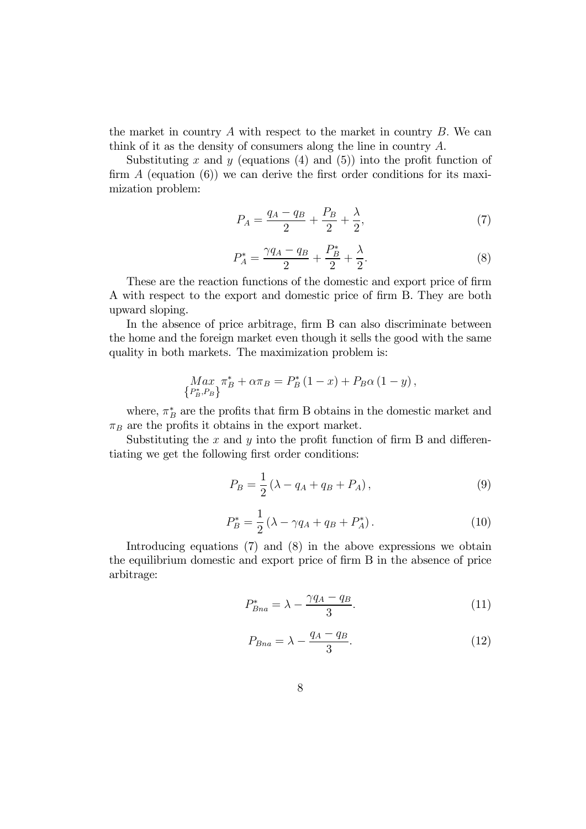the market in country  $A$  with respect to the market in country  $B$ . We can think of it as the density of consumers along the line in country  $A$ .

Substituting x and y (equations  $(4)$  and  $(5)$ ) into the profit function of firm  $A$  (equation  $(6)$ ) we can derive the first order conditions for its maximization problem:

$$
P_A = \frac{q_A - q_B}{2} + \frac{P_B}{2} + \frac{\lambda}{2},\tag{7}
$$

$$
P_A^* = \frac{\gamma q_A - q_B}{2} + \frac{P_B^*}{2} + \frac{\lambda}{2}.\tag{8}
$$

These are the reaction functions of the domestic and export price of firm A with respect to the export and domestic price of firm B. They are both upward sloping.

In the absence of price arbitrage, firm B can also discriminate between the home and the foreign market even though it sells the good with the same quality in both markets. The maximization problem is:

$$
\underset{\{P_B^*, P_B\}}{\text{Max}} \pi_B^* + \alpha \pi_B = P_B^* (1 - x) + P_B \alpha (1 - y),
$$

where,  $\pi_B^*$  are the profits that firm B obtains in the domestic market and  $\pi_B$  are the profits it obtains in the export market.

Substituting the  $x$  and  $y$  into the profit function of firm B and differentiating we get the following first order conditions:

$$
P_B = \frac{1}{2} (\lambda - q_A + q_B + P_A), \tag{9}
$$

$$
P_B^* = \frac{1}{2} \left( \lambda - \gamma q_A + q_B + P_A^* \right). \tag{10}
$$

Introducing equations (7) and (8) in the above expressions we obtain the equilibrium domestic and export price of firm B in the absence of price arbitrage:

$$
P_{Bna}^* = \lambda - \frac{\gamma q_A - q_B}{3}.\tag{11}
$$

$$
P_{Bna} = \lambda - \frac{q_A - q_B}{3}.\tag{12}
$$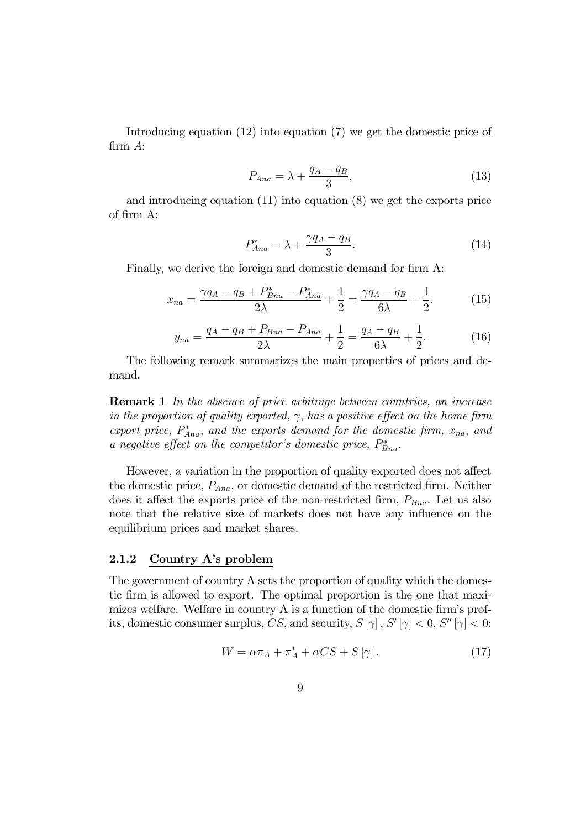Introducing equation (12) into equation (7) we get the domestic price of firm  $A$ :

$$
P_{Ana} = \lambda + \frac{q_A - q_B}{3},\tag{13}
$$

and introducing equation (11) into equation (8) we get the exports price of firm A:

$$
P_{Ana}^* = \lambda + \frac{\gamma q_A - q_B}{3}.\tag{14}
$$

Finally, we derive the foreign and domestic demand for firm A:

$$
x_{na} = \frac{\gamma q_A - q_B + P_{Bna}^* - P_{Ana}^*}{2\lambda} + \frac{1}{2} = \frac{\gamma q_A - q_B}{6\lambda} + \frac{1}{2}.
$$
 (15)

$$
y_{na} = \frac{q_A - q_B + P_{Bna} - P_{Ana}}{2\lambda} + \frac{1}{2} = \frac{q_A - q_B}{6\lambda} + \frac{1}{2}.
$$
 (16)

The following remark summarizes the main properties of prices and demand.

**Remark 1** In the absence of price arbitrage between countries, an increase in the proportion of quality exported,  $\gamma$ , has a positive effect on the home firm export price,  $P_{Ana}^*$ , and the exports demand for the domestic firm,  $x_{na}$ , and a negative effect on the competitor's domestic price,  $P_{Bna}^*$ .

However, a variation in the proportion of quality exported does not affect the domestic price,  $P_{Ana}$ , or domestic demand of the restricted firm. Neither does it affect the exports price of the non-restricted firm,  $P_{Bna}$ . Let us also note that the relative size of markets does not have any influence on the equilibrium prices and market shares.

#### 2.1.2 Country A's problem

The government of country A sets the proportion of quality which the domestic firm is allowed to export. The optimal proportion is the one that maximizes welfare. Welfare in country  $A$  is a function of the domestic firm's profits, domestic consumer surplus, CS, and security,  $S[\gamma]$ ,  $S'[\gamma] < 0$ ,  $S''[\gamma] < 0$ :

$$
W = \alpha \pi_A + \pi_A^* + \alpha CS + S[\gamma]. \tag{17}
$$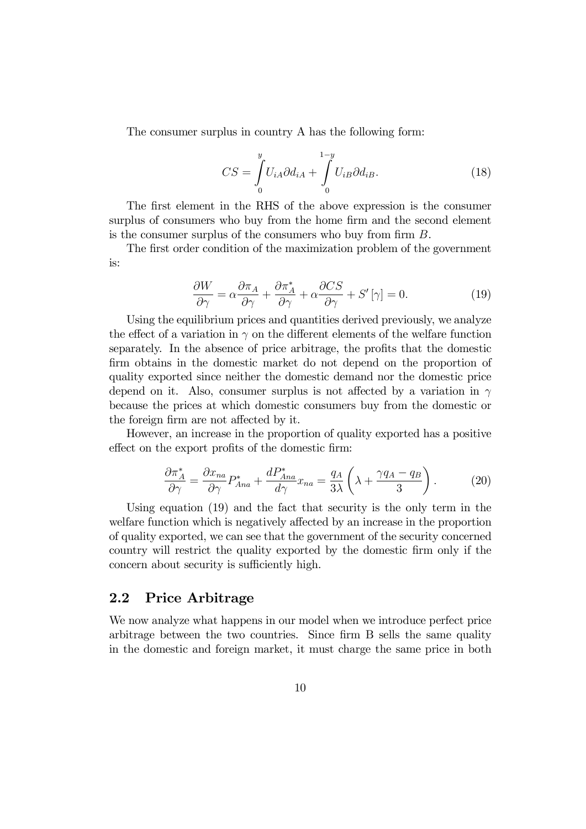The consumer surplus in country A has the following form:

$$
CS = \int_{0}^{y} U_{iA} \partial d_{iA} + \int_{0}^{1-y} U_{iB} \partial d_{iB}.
$$
 (18)

The first element in the RHS of the above expression is the consumer surplus of consumers who buy from the home firm and the second element is the consumer surplus of the consumers who buy from firm  $B$ .

The first order condition of the maximization problem of the government is:

$$
\frac{\partial W}{\partial \gamma} = \alpha \frac{\partial \pi_A}{\partial \gamma} + \frac{\partial \pi_A^*}{\partial \gamma} + \alpha \frac{\partial CS}{\partial \gamma} + S'[\gamma] = 0.
$$
 (19)

Using the equilibrium prices and quantities derived previously, we analyze the effect of a variation in  $\gamma$  on the different elements of the welfare function separately. In the absence of price arbitrage, the profits that the domestic firm obtains in the domestic market do not depend on the proportion of quality exported since neither the domestic demand nor the domestic price depend on it. Also, consumer surplus is not affected by a variation in  $\gamma$ because the prices at which domestic consumers buy from the domestic or the foreign firm are not affected by it.

However, an increase in the proportion of quality exported has a positive effect on the export profits of the domestic firm:

$$
\frac{\partial \pi_A^*}{\partial \gamma} = \frac{\partial x_{na}}{\partial \gamma} P_{Ana}^* + \frac{dP_{Ana}^*}{d \gamma} x_{na} = \frac{q_A}{3\lambda} \left( \lambda + \frac{\gamma q_A - q_B}{3} \right). \tag{20}
$$

Using equation (19) and the fact that security is the only term in the welfare function which is negatively affected by an increase in the proportion of quality exported, we can see that the government of the security concerned country will restrict the quality exported by the domestic firm only if the concern about security is sufficiently high.

## 2.2 Price Arbitrage

We now analyze what happens in our model when we introduce perfect price arbitrage between the two countries. Since firm B sells the same quality in the domestic and foreign market, it must charge the same price in both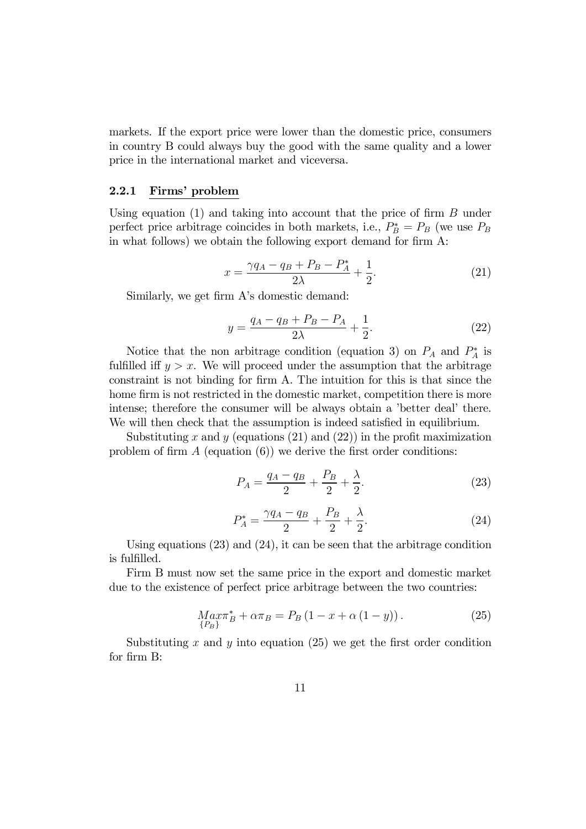markets. If the export price were lower than the domestic price, consumers in country B could always buy the good with the same quality and a lower price in the international market and viceversa.

#### 2.2.1 Firms' problem

Using equation  $(1)$  and taking into account that the price of firm  $B$  under perfect price arbitrage coincides in both markets, i.e.,  $P_B^* = P_B$  (we use  $P_B$ ) in what follows) we obtain the following export demand for firm  $A$ :

$$
x = \frac{\gamma q_A - q_B + P_B - P_A^*}{2\lambda} + \frac{1}{2}.
$$
 (21)

Similarly, we get firm A's domestic demand:

$$
y = \frac{q_A - q_B + P_B - P_A}{2\lambda} + \frac{1}{2}.
$$
 (22)

Notice that the non arbitrage condition (equation 3) on  $P_A$  and  $P_A^*$  is fulfilled iff  $y > x$ . We will proceed under the assumption that the arbitrage constraint is not binding for firm A. The intuition for this is that since the home firm is not restricted in the domestic market, competition there is more intense; therefore the consumer will be always obtain a 'better deal' there. We will then check that the assumption is indeed satisfied in equilibrium.

Substituting x and y (equations  $(21)$  and  $(22)$ ) in the profit maximization problem of firm  $A$  (equation  $(6)$ ) we derive the first order conditions:

$$
P_A = \frac{q_A - q_B}{2} + \frac{P_B}{2} + \frac{\lambda}{2}.
$$
 (23)

$$
P_A^* = \frac{\gamma q_A - q_B}{2} + \frac{P_B}{2} + \frac{\lambda}{2}.
$$
 (24)

Using equations (23) and (24), it can be seen that the arbitrage condition is fulfilled.

Firm B must now set the same price in the export and domestic market due to the existence of perfect price arbitrage between the two countries:

$$
Max\pi_B^* + \alpha \pi_B = P_B \left( 1 - x + \alpha \left( 1 - y \right) \right). \tag{25}
$$

Substituting x and y into equation (25) we get the first order condition for firm B: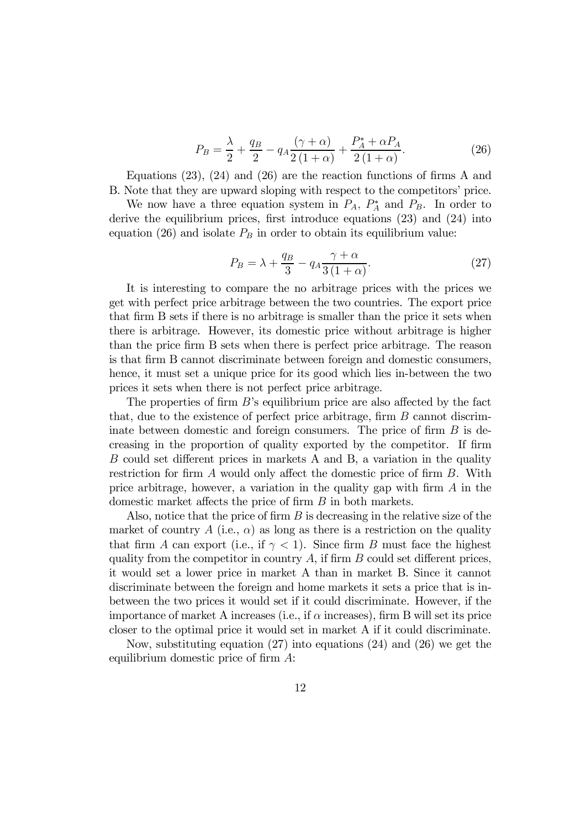$$
P_B = \frac{\lambda}{2} + \frac{q_B}{2} - q_A \frac{(\gamma + \alpha)}{2(1 + \alpha)} + \frac{P_A^* + \alpha P_A}{2(1 + \alpha)}.
$$
 (26)

Equations  $(23)$ ,  $(24)$  and  $(26)$  are the reaction functions of firms A and B. Note that they are upward sloping with respect to the competitors' price.

We now have a three equation system in  $P_A$ ,  $P_A^*$  and  $P_B$ . In order to derive the equilibrium prices, first introduce equations  $(23)$  and  $(24)$  into equation (26) and isolate  $P_B$  in order to obtain its equilibrium value:

$$
P_B = \lambda + \frac{q_B}{3} - q_A \frac{\gamma + \alpha}{3(1 + \alpha)}.\tag{27}
$$

It is interesting to compare the no arbitrage prices with the prices we get with perfect price arbitrage between the two countries. The export price that firm B sets if there is no arbitrage is smaller than the price it sets when there is arbitrage. However, its domestic price without arbitrage is higher than the price firm B sets when there is perfect price arbitrage. The reason is that firm B cannot discriminate between foreign and domestic consumers, hence, it must set a unique price for its good which lies in-between the two prices it sets when there is not perfect price arbitrage.

The properties of firm  $B$ 's equilibrium price are also affected by the fact that, due to the existence of perfect price arbitrage, firm  $B$  cannot discriminate between domestic and foreign consumers. The price of firm  $B$  is decreasing in the proportion of quality exported by the competitor. If firm  $B$  could set different prices in markets A and B, a variation in the quality restriction for firm  $A$  would only affect the domestic price of firm  $B$ . With price arbitrage, however, a variation in the quality gap with firm  $A$  in the domestic market affects the price of firm  $B$  in both markets.

Also, notice that the price of firm  $B$  is decreasing in the relative size of the market of country A (i.e.,  $\alpha$ ) as long as there is a restriction on the quality that firm A can export (i.e., if  $\gamma < 1$ ). Since firm B must face the highest quality from the competitor in country  $A$ , if firm  $B$  could set different prices, it would set a lower price in market A than in market B. Since it cannot discriminate between the foreign and home markets it sets a price that is inbetween the two prices it would set if it could discriminate. However, if the importance of market A increases (i.e., if  $\alpha$  increases), firm B will set its price closer to the optimal price it would set in market A if it could discriminate.

Now, substituting equation (27) into equations (24) and (26) we get the equilibrium domestic price of firm  $A$ :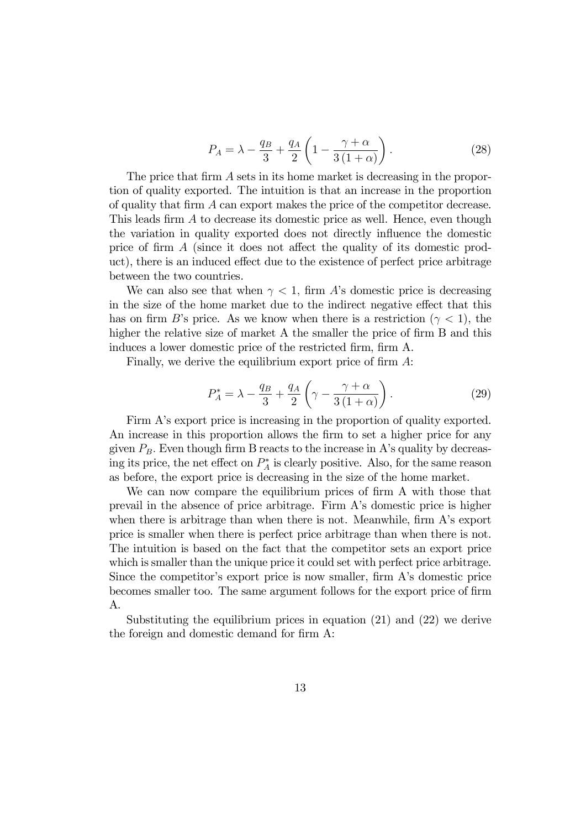$$
P_A = \lambda - \frac{q_B}{3} + \frac{q_A}{2} \left( 1 - \frac{\gamma + \alpha}{3 \left( 1 + \alpha \right)} \right). \tag{28}
$$

The price that firm  $A$  sets in its home market is decreasing in the proportion of quality exported. The intuition is that an increase in the proportion of quality that firm  $A$  can export makes the price of the competitor decrease. This leads firm  $A$  to decrease its domestic price as well. Hence, even though the variation in quality exported does not directly in‡uence the domestic price of firm  $\tilde{A}$  (since it does not affect the quality of its domestic product), there is an induced effect due to the existence of perfect price arbitrage between the two countries.

We can also see that when  $\gamma < 1$ , firm A's domestic price is decreasing in the size of the home market due to the indirect negative effect that this has on firm B's price. As we know when there is a restriction ( $\gamma < 1$ ), the higher the relative size of market A the smaller the price of firm  $B$  and this induces a lower domestic price of the restricted firm, firm A.

Finally, we derive the equilibrium export price of firm  $A$ :

$$
P_A^* = \lambda - \frac{q_B}{3} + \frac{q_A}{2} \left( \gamma - \frac{\gamma + \alpha}{3(1 + \alpha)} \right). \tag{29}
$$

Firm A's export price is increasing in the proportion of quality exported. An increase in this proportion allows the firm to set a higher price for any given  $P_B$ . Even though firm B reacts to the increase in A's quality by decreasing its price, the net effect on  $P_A^*$  is clearly positive. Also, for the same reason as before, the export price is decreasing in the size of the home market.

We can now compare the equilibrium prices of firm A with those that prevail in the absence of price arbitrage. Firm A's domestic price is higher when there is arbitrage than when there is not. Meanwhile, firm  $A$ 's export price is smaller when there is perfect price arbitrage than when there is not. The intuition is based on the fact that the competitor sets an export price which is smaller than the unique price it could set with perfect price arbitrage. Since the competitor's export price is now smaller, firm  $A$ 's domestic price becomes smaller too. The same argument follows for the export price of firm A.

Substituting the equilibrium prices in equation (21) and (22) we derive the foreign and domestic demand for firm  $A$ :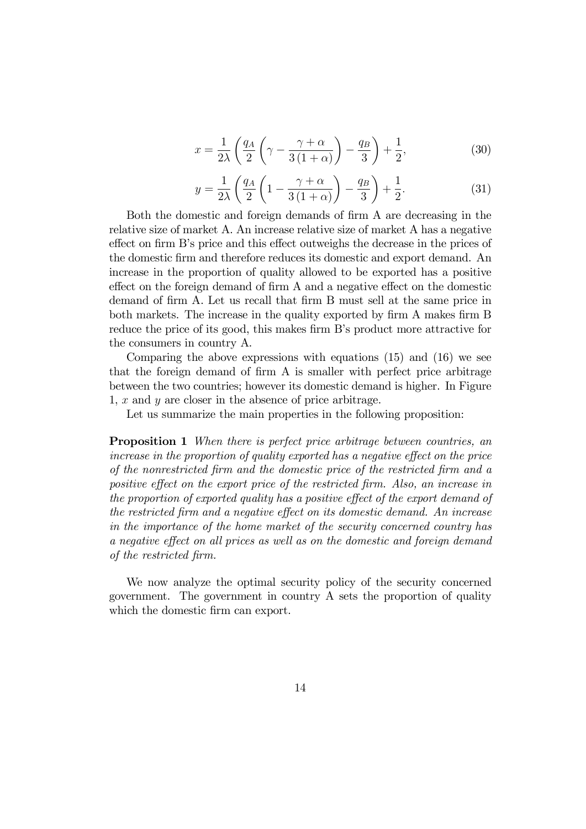$$
x = \frac{1}{2\lambda} \left( \frac{q_A}{2} \left( \gamma - \frac{\gamma + \alpha}{3(1 + \alpha)} \right) - \frac{q_B}{3} \right) + \frac{1}{2},\tag{30}
$$

$$
y = \frac{1}{2\lambda} \left( \frac{q_A}{2} \left( 1 - \frac{\gamma + \alpha}{3(1 + \alpha)} \right) - \frac{q_B}{3} \right) + \frac{1}{2}.
$$
 (31)

Both the domestic and foreign demands of firm A are decreasing in the relative size of market A. An increase relative size of market A has a negative effect on firm B's price and this effect outweighs the decrease in the prices of the domestic firm and therefore reduces its domestic and export demand. An increase in the proportion of quality allowed to be exported has a positive effect on the foreign demand of firm A and a negative effect on the domestic demand of firm A. Let us recall that firm B must sell at the same price in both markets. The increase in the quality exported by firm A makes firm B reduce the price of its good, this makes firm B's product more attractive for the consumers in country A.

Comparing the above expressions with equations (15) and (16) we see that the foreign demand of firm  $A$  is smaller with perfect price arbitrage between the two countries; however its domestic demand is higher. In Figure 1,  $x$  and  $y$  are closer in the absence of price arbitrage.

Let us summarize the main properties in the following proposition:

**Proposition 1** When there is perfect price arbitrage between countries, an increase in the proportion of quality exported has a negative effect on the price of the nonrestricted firm and the domestic price of the restricted firm and a positive effect on the export price of the restricted firm. Also, an increase in the proportion of exported quality has a positive effect of the export demand of the restricted firm and a negative effect on its domestic demand. An increase in the importance of the home market of the security concerned country has a negative effect on all prices as well as on the domestic and foreign demand of the restricted firm.

We now analyze the optimal security policy of the security concerned government. The government in country A sets the proportion of quality which the domestic firm can export.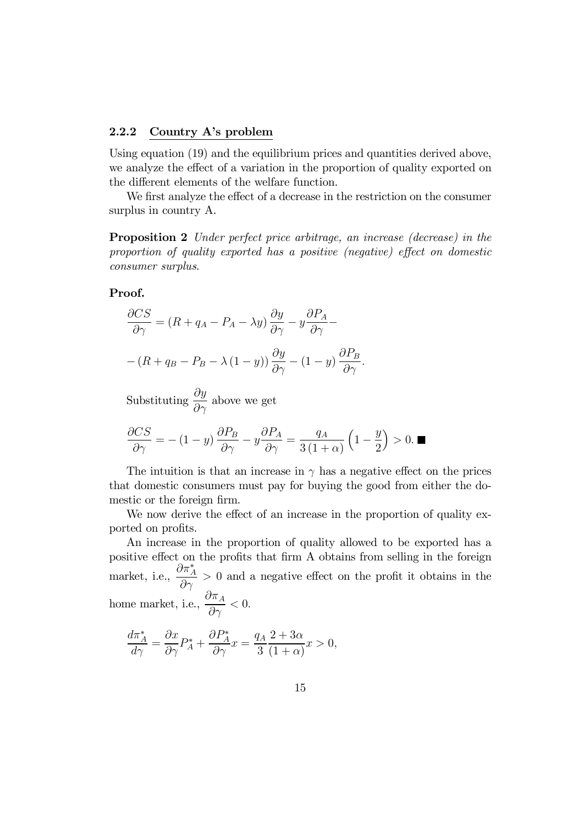#### 2.2.2 Country A's problem

Using equation (19) and the equilibrium prices and quantities derived above, we analyze the effect of a variation in the proportion of quality exported on the different elements of the welfare function.

We first analyze the effect of a decrease in the restriction on the consumer surplus in country A.

Proposition 2 Under perfect price arbitrage, an increase (decrease) in the proportion of quality exported has a positive (negative) effect on domestic consumer surplus.

#### Proof.

$$
\frac{\partial CS}{\partial \gamma} = (R + q_A - P_A - \lambda y) \frac{\partial y}{\partial \gamma} - y \frac{\partial P_A}{\partial \gamma} - (R + q_B - P_B - \lambda (1 - y)) \frac{\partial y}{\partial \gamma} - (1 - y) \frac{\partial P_B}{\partial \gamma}.
$$

Substituting  $\frac{\partial y}{\partial \gamma}$  above we get

$$
\frac{\partial CS}{\partial \gamma} = -(1-y)\frac{\partial P_B}{\partial \gamma} - y\frac{\partial P_A}{\partial \gamma} = \frac{q_A}{3(1+\alpha)}\left(1-\frac{y}{2}\right) > 0. \blacksquare
$$

The intuition is that an increase in  $\gamma$  has a negative effect on the prices that domestic consumers must pay for buying the good from either the domestic or the foreign firm.

We now derive the effect of an increase in the proportion of quality exported on profits.

An increase in the proportion of quality allowed to be exported has a positive effect on the profits that firm A obtains from selling in the foreign market, i.e.,  $\frac{\partial \pi_A^*}{\partial \gamma} > 0$  and a negative effect on the profit it obtains in the home market, i.e.,  $\frac{\partial \pi_A}{\partial \rho}$  $\frac{\partial \Gamma}{\partial \gamma} < 0.$ 

$$
\frac{d\pi^*_A}{d\gamma} = \frac{\partial x}{\partial \gamma} P^*_A + \frac{\partial P^*_A}{\partial \gamma} x = \frac{q_A}{3} \frac{2 + 3\alpha}{(1 + \alpha)} x > 0,
$$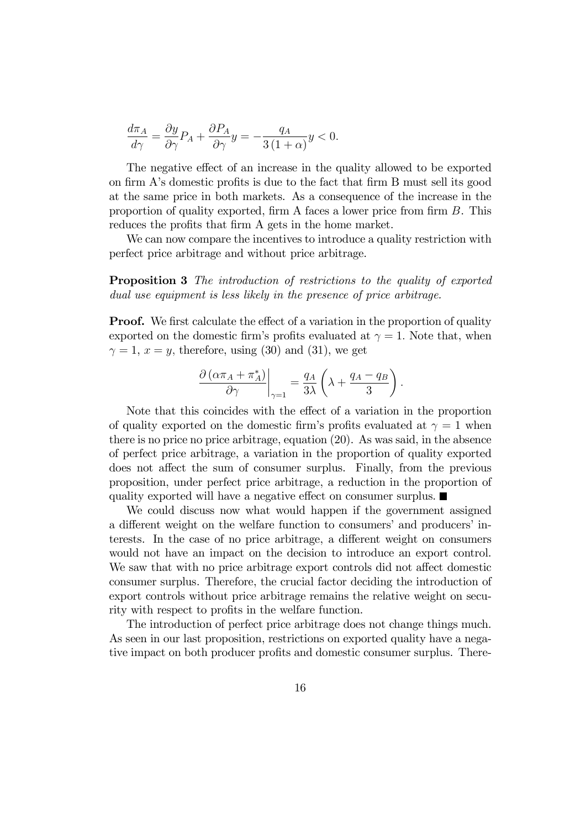$$
\frac{d\pi_A}{d\gamma} = \frac{\partial y}{\partial \gamma} P_A + \frac{\partial P_A}{\partial \gamma} y = -\frac{q_A}{3(1+\alpha)} y < 0.
$$

The negative effect of an increase in the quality allowed to be exported on firm A's domestic profits is due to the fact that firm B must sell its good at the same price in both markets. As a consequence of the increase in the proportion of quality exported, firm A faces a lower price from firm  $B$ . This reduces the profits that firm A gets in the home market.

We can now compare the incentives to introduce a quality restriction with perfect price arbitrage and without price arbitrage.

Proposition 3 The introduction of restrictions to the quality of exported dual use equipment is less likely in the presence of price arbitrage.

**Proof.** We first calculate the effect of a variation in the proportion of quality exported on the domestic firm's profits evaluated at  $\gamma = 1$ . Note that, when  $\gamma = 1, x = y$ , therefore, using (30) and (31), we get

$$
\left. \frac{\partial \left( \alpha \pi_A + \pi_A^* \right)}{\partial \gamma} \right|_{\gamma=1} = \frac{q_A}{3\lambda} \left( \lambda + \frac{q_A - q_B}{3} \right).
$$

Note that this coincides with the effect of a variation in the proportion of quality exported on the domestic firm's profits evaluated at  $\gamma = 1$  when there is no price no price arbitrage, equation (20). As was said, in the absence of perfect price arbitrage, a variation in the proportion of quality exported does not affect the sum of consumer surplus. Finally, from the previous proposition, under perfect price arbitrage, a reduction in the proportion of quality exported will have a negative effect on consumer surplus.  $\blacksquare$ 

We could discuss now what would happen if the government assigned a different weight on the welfare function to consumers' and producers' interests. In the case of no price arbitrage, a different weight on consumers would not have an impact on the decision to introduce an export control. We saw that with no price arbitrage export controls did not affect domestic consumer surplus. Therefore, the crucial factor deciding the introduction of export controls without price arbitrage remains the relative weight on security with respect to profits in the welfare function.

The introduction of perfect price arbitrage does not change things much. As seen in our last proposition, restrictions on exported quality have a negative impact on both producer profits and domestic consumer surplus. There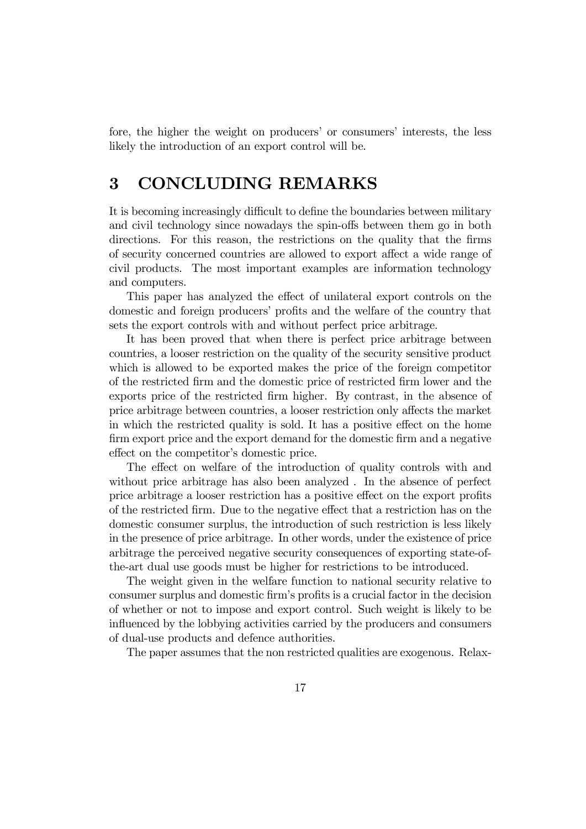fore, the higher the weight on producers' or consumers' interests, the less likely the introduction of an export control will be.

## 3 CONCLUDING REMARKS

It is becoming increasingly difficult to define the boundaries between military and civil technology since nowadays the spin-offs between them go in both directions. For this reason, the restrictions on the quality that the firms of security concerned countries are allowed to export affect a wide range of civil products. The most important examples are information technology and computers.

This paper has analyzed the effect of unilateral export controls on the domestic and foreign producers' profits and the welfare of the country that sets the export controls with and without perfect price arbitrage.

It has been proved that when there is perfect price arbitrage between countries, a looser restriction on the quality of the security sensitive product which is allowed to be exported makes the price of the foreign competitor of the restricted firm and the domestic price of restricted firm lower and the exports price of the restricted firm higher. By contrast, in the absence of price arbitrage between countries, a looser restriction only a¤ects the market in which the restricted quality is sold. It has a positive effect on the home firm export price and the export demand for the domestic firm and a negative effect on the competitor's domestic price.

The effect on welfare of the introduction of quality controls with and without price arbitrage has also been analyzed . In the absence of perfect price arbitrage a looser restriction has a positive effect on the export profits of the restricted firm. Due to the negative effect that a restriction has on the domestic consumer surplus, the introduction of such restriction is less likely in the presence of price arbitrage. In other words, under the existence of price arbitrage the perceived negative security consequences of exporting state-ofthe-art dual use goods must be higher for restrictions to be introduced.

The weight given in the welfare function to national security relative to consumer surplus and domestic firm's profits is a crucial factor in the decision of whether or not to impose and export control. Such weight is likely to be influenced by the lobbying activities carried by the producers and consumers of dual-use products and defence authorities.

The paper assumes that the non restricted qualities are exogenous. Relax-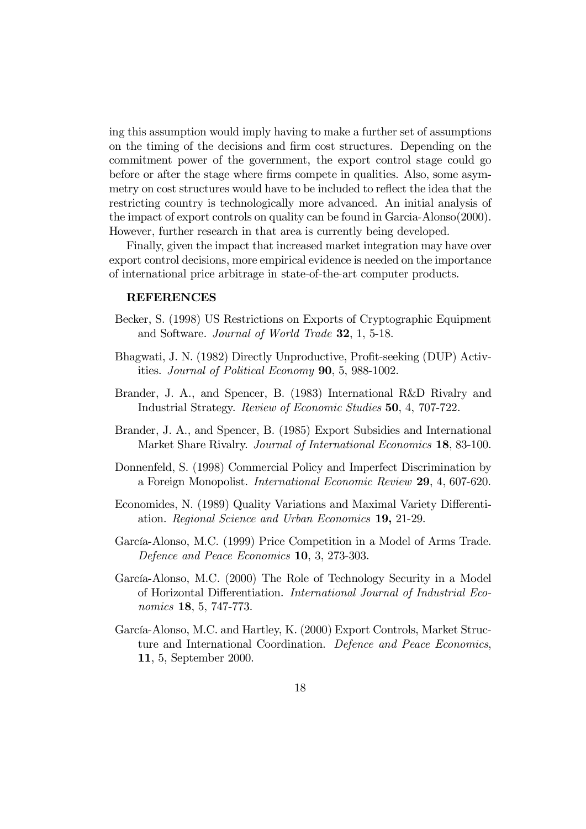ing this assumption would imply having to make a further set of assumptions on the timing of the decisions and firm cost structures. Depending on the commitment power of the government, the export control stage could go before or after the stage where firms compete in qualities. Also, some asymmetry on cost structures would have to be included to reflect the idea that the restricting country is technologically more advanced. An initial analysis of the impact of export controls on quality can be found in Garcia-Alonso(2000). However, further research in that area is currently being developed.

Finally, given the impact that increased market integration may have over export control decisions, more empirical evidence is needed on the importance of international price arbitrage in state-of-the-art computer products.

#### **REFERENCES**

- Becker, S. (1998) US Restrictions on Exports of Cryptographic Equipment and Software. Journal of World Trade 32, 1, 5-18.
- Bhagwati, J. N. (1982) Directly Unproductive, Profit-seeking (DUP) Activities. Journal of Political Economy 90, 5, 988-1002.
- Brander, J. A., and Spencer, B. (1983) International R&D Rivalry and Industrial Strategy. Review of Economic Studies 50, 4, 707-722.
- Brander, J. A., and Spencer, B. (1985) Export Subsidies and International Market Share Rivalry. Journal of International Economics 18, 83-100.
- Donnenfeld, S. (1998) Commercial Policy and Imperfect Discrimination by a Foreign Monopolist. International Economic Review 29, 4, 607-620.
- Economides, N. (1989) Quality Variations and Maximal Variety Differentiation. Regional Science and Urban Economics 19, 21-29.
- García-Alonso, M.C. (1999) Price Competition in a Model of Arms Trade. Defence and Peace Economics 10, 3, 273-303.
- García-Alonso, M.C. (2000) The Role of Technology Security in a Model of Horizontal Differentiation. International Journal of Industrial Economics 18, 5, 747-773.
- García-Alonso, M.C. and Hartley, K. (2000) Export Controls, Market Structure and International Coordination. Defence and Peace Economics, 11, 5, September 2000.